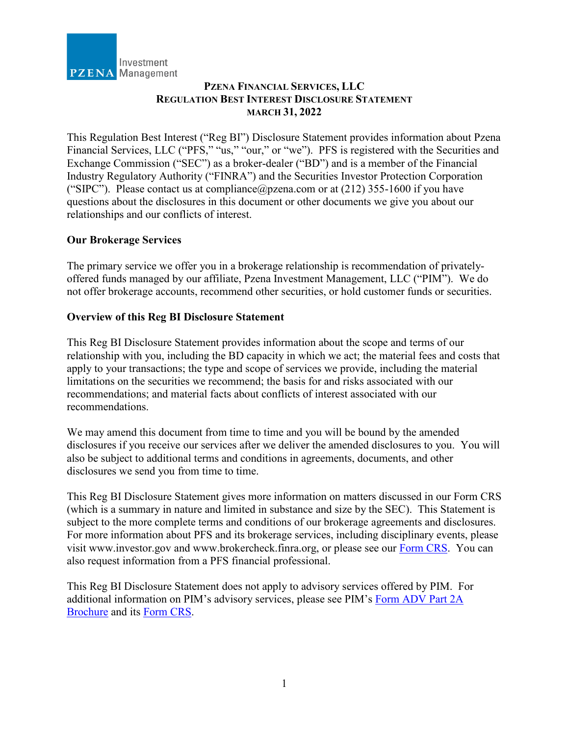

# **PZENA FINANCIAL SERVICES, LLC REGULATION BEST INTEREST DISCLOSURE STATEMENT MARCH 31, 2022**

This Regulation Best Interest ("Reg BI") Disclosure Statement provides information about Pzena Financial Services, LLC ("PFS," "us," "our," or "we"). PFS is registered with the Securities and Exchange Commission ("SEC") as a broker-dealer ("BD") and is a member of the Financial Industry Regulatory Authority ("FINRA") and the Securities Investor Protection Corporation ("SIPC"). Please contact us at compliance  $@p$  zena.com or at (212) 355-1600 if you have questions about the disclosures in this document or other documents we give you about our relationships and our conflicts of interest.

# **Our Brokerage Services**

The primary service we offer you in a brokerage relationship is recommendation of privatelyoffered funds managed by our affiliate, Pzena Investment Management, LLC ("PIM"). We do not offer brokerage accounts, recommend other securities, or hold customer funds or securities.

### **Overview of this Reg BI Disclosure Statement**

This Reg BI Disclosure Statement provides information about the scope and terms of our relationship with you, including the BD capacity in which we act; the material fees and costs that apply to your transactions; the type and scope of services we provide, including the material limitations on the securities we recommend; the basis for and risks associated with our recommendations; and material facts about conflicts of interest associated with our recommendations.

We may amend this document from time to time and you will be bound by the amended disclosures if you receive our services after we deliver the amended disclosures to you. You will also be subject to additional terms and conditions in agreements, documents, and other disclosures we send you from time to time.

This Reg BI Disclosure Statement gives more information on matters discussed in our Form CRS (which is a summary in nature and limited in substance and size by the SEC). This Statement is subject to the more complete terms and conditions of our brokerage agreements and disclosures. For more information about PFS and its brokerage services, including disciplinary events, please visit www.investor.gov and www.brokercheck.finra.org, or please see our [Form CRS.](https://www.pzena.com/wp-content/uploads/2021/04/PFS-Form-CRS-3-31-2022.pdf) You can also request information from a PFS financial professional.

This Reg BI Disclosure Statement does not apply to advisory services offered by PIM. For additional information on PIM's advisory services, please see PIM's [Form ADV Part 2A](https://www.pzena.com/wp-content/uploads/2022/03/Form-ADV-Part-2A-3-31-2022.pdf)  [Brochure](https://www.pzena.com/wp-content/uploads/2022/03/Form-ADV-Part-2A-3-31-2022.pdf) and its [Form CRS.](https://www.pzena.com/wp-content/uploads/2022/04/PIM-Form-CRS-3-31-2022.pdf)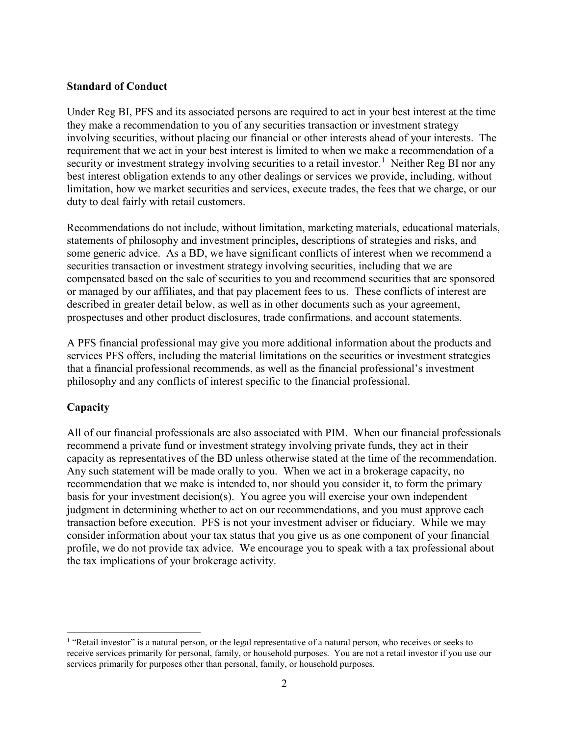#### **Standard of Conduct**

Under Reg BI, PFS and its associated persons are required to act in your best interest at the time they make a recommendation to you of any securities transaction or investment strategy involving securities, without placing our financial or other interests ahead of your interests. The requirement that we act in your best interest is limited to when we make a recommendation of a security or investment strategy involving securities to a retail investor.<sup>[1](#page-1-0)</sup> Neither Reg BI nor any best interest obligation extends to any other dealings or services we provide, including, without limitation, how we market securities and services, execute trades, the fees that we charge, or our duty to deal fairly with retail customers.

Recommendations do not include, without limitation, marketing materials, educational materials, statements of philosophy and investment principles, descriptions of strategies and risks, and some generic advice. As a BD, we have significant conflicts of interest when we recommend a securities transaction or investment strategy involving securities, including that we are compensated based on the sale of securities to you and recommend securities that are sponsored or managed by our affiliates, and that pay placement fees to us. These conflicts of interest are described in greater detail below, as well as in other documents such as your agreement, prospectuses and other product disclosures, trade confirmations, and account statements.

A PFS financial professional may give you more additional information about the products and services PFS offers, including the material limitations on the securities or investment strategies that a financial professional recommends, as well as the financial professional's investment philosophy and any conflicts of interest specific to the financial professional.

# **Capacity**

All of our financial professionals are also associated with PIM. When our financial professionals recommend a private fund or investment strategy involving private funds, they act in their capacity as representatives of the BD unless otherwise stated at the time of the recommendation. Any such statement will be made orally to you. When we act in a brokerage capacity, no recommendation that we make is intended to, nor should you consider it, to form the primary basis for your investment decision(s). You agree you will exercise your own independent judgment in determining whether to act on our recommendations, and you must approve each transaction before execution. PFS is not your investment adviser or fiduciary. While we may consider information about your tax status that you give us as one component of your financial profile, we do not provide tax advice. We encourage you to speak with a tax professional about the tax implications of your brokerage activity.

<span id="page-1-0"></span><sup>&</sup>lt;sup>1</sup> "Retail investor" is a natural person, or the legal representative of a natural person, who receives or seeks to receive services primarily for personal, family, or household purposes. You are not a retail investor if you use our services primarily for purposes other than personal, family, or household purposes*.*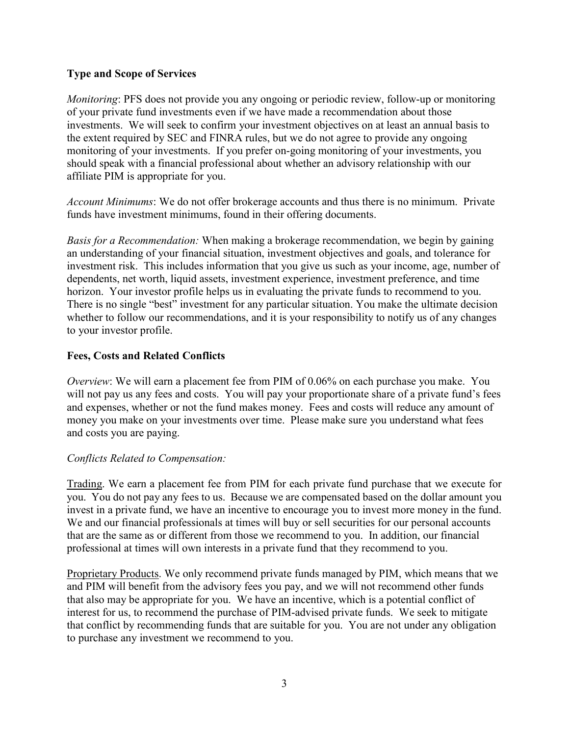## **Type and Scope of Services**

*Monitoring*: PFS does not provide you any ongoing or periodic review, follow-up or monitoring of your private fund investments even if we have made a recommendation about those investments. We will seek to confirm your investment objectives on at least an annual basis to the extent required by SEC and FINRA rules, but we do not agree to provide any ongoing monitoring of your investments. If you prefer on-going monitoring of your investments, you should speak with a financial professional about whether an advisory relationship with our affiliate PIM is appropriate for you.

*Account Minimums*: We do not offer brokerage accounts and thus there is no minimum. Private funds have investment minimums, found in their offering documents.

*Basis for a Recommendation:* When making a brokerage recommendation, we begin by gaining an understanding of your financial situation, investment objectives and goals, and tolerance for investment risk. This includes information that you give us such as your income, age, number of dependents, net worth, liquid assets, investment experience, investment preference, and time horizon. Your investor profile helps us in evaluating the private funds to recommend to you. There is no single "best" investment for any particular situation. You make the ultimate decision whether to follow our recommendations, and it is your responsibility to notify us of any changes to your investor profile.

### **Fees, Costs and Related Conflicts**

*Overview*: We will earn a placement fee from PIM of 0.06% on each purchase you make. You will not pay us any fees and costs. You will pay your proportionate share of a private fund's fees and expenses, whether or not the fund makes money. Fees and costs will reduce any amount of money you make on your investments over time. Please make sure you understand what fees and costs you are paying.

#### *Conflicts Related to Compensation:*

Trading. We earn a placement fee from PIM for each private fund purchase that we execute for you. You do not pay any fees to us. Because we are compensated based on the dollar amount you invest in a private fund, we have an incentive to encourage you to invest more money in the fund. We and our financial professionals at times will buy or sell securities for our personal accounts that are the same as or different from those we recommend to you. In addition, our financial professional at times will own interests in a private fund that they recommend to you.

Proprietary Products. We only recommend private funds managed by PIM, which means that we and PIM will benefit from the advisory fees you pay, and we will not recommend other funds that also may be appropriate for you. We have an incentive, which is a potential conflict of interest for us, to recommend the purchase of PIM-advised private funds. We seek to mitigate that conflict by recommending funds that are suitable for you. You are not under any obligation to purchase any investment we recommend to you.